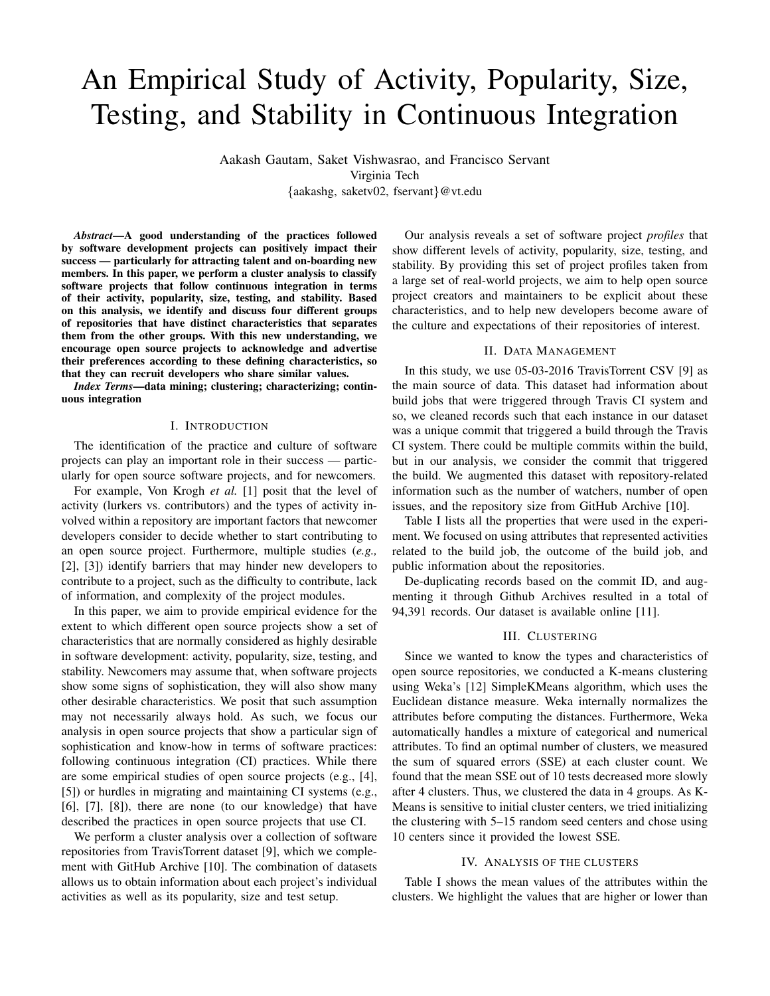# An Empirical Study of Activity, Popularity, Size, Testing, and Stability in Continuous Integration

Aakash Gautam, Saket Vishwasrao, and Francisco Servant Virginia Tech {aakashg, saketv02, fservant}@vt.edu

*Abstract*—A good understanding of the practices followed by software development projects can positively impact their success — particularly for attracting talent and on-boarding new members. In this paper, we perform a cluster analysis to classify software projects that follow continuous integration in terms of their activity, popularity, size, testing, and stability. Based on this analysis, we identify and discuss four different groups of repositories that have distinct characteristics that separates them from the other groups. With this new understanding, we encourage open source projects to acknowledge and advertise their preferences according to these defining characteristics, so that they can recruit developers who share similar values.

*Index Terms*—data mining; clustering; characterizing; continuous integration

## I. INTRODUCTION

The identification of the practice and culture of software projects can play an important role in their success — particularly for open source software projects, and for newcomers.

For example, Von Krogh *et al.* [1] posit that the level of activity (lurkers vs. contributors) and the types of activity involved within a repository are important factors that newcomer developers consider to decide whether to start contributing to an open source project. Furthermore, multiple studies (*e.g.,* [2], [3]) identify barriers that may hinder new developers to contribute to a project, such as the difficulty to contribute, lack of information, and complexity of the project modules.

In this paper, we aim to provide empirical evidence for the extent to which different open source projects show a set of characteristics that are normally considered as highly desirable in software development: activity, popularity, size, testing, and stability. Newcomers may assume that, when software projects show some signs of sophistication, they will also show many other desirable characteristics. We posit that such assumption may not necessarily always hold. As such, we focus our analysis in open source projects that show a particular sign of sophistication and know-how in terms of software practices: following continuous integration (CI) practices. While there are some empirical studies of open source projects (e.g., [4], [5]) or hurdles in migrating and maintaining CI systems (e.g., [6], [7], [8]), there are none (to our knowledge) that have described the practices in open source projects that use CI.

We perform a cluster analysis over a collection of software repositories from TravisTorrent dataset [9], which we complement with GitHub Archive [10]. The combination of datasets allows us to obtain information about each project's individual activities as well as its popularity, size and test setup.

Our analysis reveals a set of software project *profiles* that show different levels of activity, popularity, size, testing, and stability. By providing this set of project profiles taken from a large set of real-world projects, we aim to help open source project creators and maintainers to be explicit about these characteristics, and to help new developers become aware of the culture and expectations of their repositories of interest.

## II. DATA MANAGEMENT

In this study, we use 05-03-2016 TravisTorrent CSV [9] as the main source of data. This dataset had information about build jobs that were triggered through Travis CI system and so, we cleaned records such that each instance in our dataset was a unique commit that triggered a build through the Travis CI system. There could be multiple commits within the build, but in our analysis, we consider the commit that triggered the build. We augmented this dataset with repository-related information such as the number of watchers, number of open issues, and the repository size from GitHub Archive [10].

Table I lists all the properties that were used in the experiment. We focused on using attributes that represented activities related to the build job, the outcome of the build job, and public information about the repositories.

De-duplicating records based on the commit ID, and augmenting it through Github Archives resulted in a total of 94,391 records. Our dataset is available online [11].

#### III. CLUSTERING

Since we wanted to know the types and characteristics of open source repositories, we conducted a K-means clustering using Weka's [12] SimpleKMeans algorithm, which uses the Euclidean distance measure. Weka internally normalizes the attributes before computing the distances. Furthermore, Weka automatically handles a mixture of categorical and numerical attributes. To find an optimal number of clusters, we measured the sum of squared errors (SSE) at each cluster count. We found that the mean SSE out of 10 tests decreased more slowly after 4 clusters. Thus, we clustered the data in 4 groups. As K-Means is sensitive to initial cluster centers, we tried initializing the clustering with 5–15 random seed centers and chose using 10 centers since it provided the lowest SSE.

#### IV. ANALYSIS OF THE CLUSTERS

Table I shows the mean values of the attributes within the clusters. We highlight the values that are higher or lower than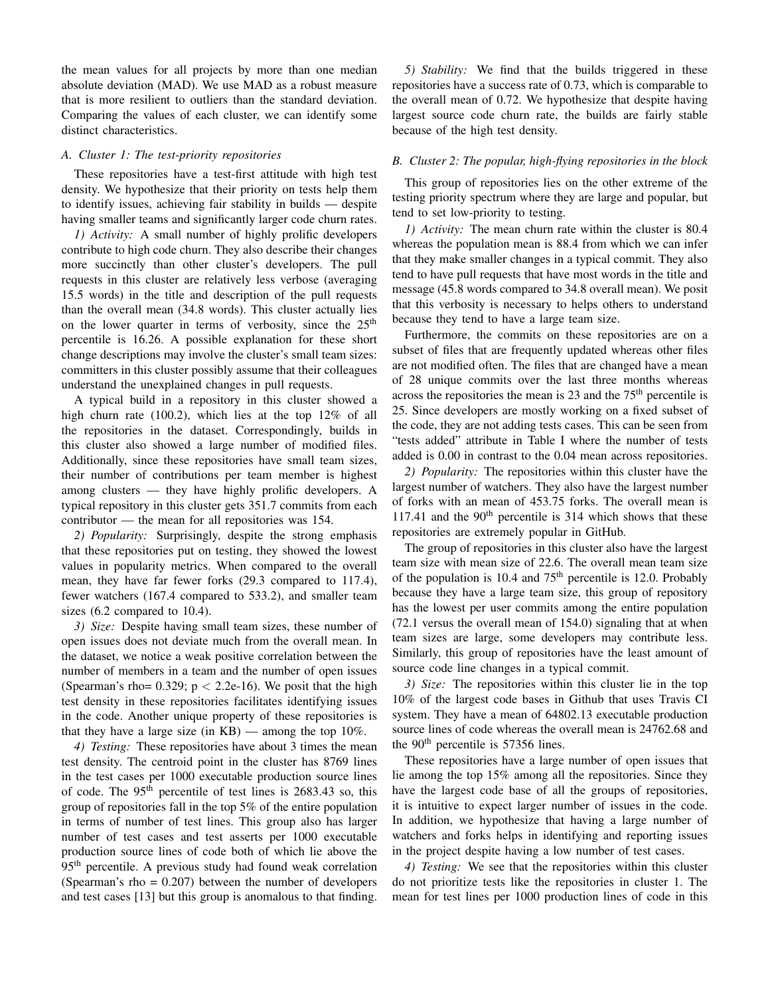the mean values for all projects by more than one median absolute deviation (MAD). We use MAD as a robust measure that is more resilient to outliers than the standard deviation. Comparing the values of each cluster, we can identify some distinct characteristics.

#### *A. Cluster 1: The test-priority repositories*

These repositories have a test-first attitude with high test density. We hypothesize that their priority on tests help them to identify issues, achieving fair stability in builds — despite having smaller teams and significantly larger code churn rates.

*1) Activity:* A small number of highly prolific developers contribute to high code churn. They also describe their changes more succinctly than other cluster's developers. The pull requests in this cluster are relatively less verbose (averaging 15.5 words) in the title and description of the pull requests than the overall mean (34.8 words). This cluster actually lies on the lower quarter in terms of verbosity, since the  $25<sup>th</sup>$ percentile is 16.26. A possible explanation for these short change descriptions may involve the cluster's small team sizes: committers in this cluster possibly assume that their colleagues understand the unexplained changes in pull requests.

A typical build in a repository in this cluster showed a high churn rate (100.2), which lies at the top 12% of all the repositories in the dataset. Correspondingly, builds in this cluster also showed a large number of modified files. Additionally, since these repositories have small team sizes, their number of contributions per team member is highest among clusters — they have highly prolific developers. A typical repository in this cluster gets 351.7 commits from each contributor — the mean for all repositories was 154.

*2) Popularity:* Surprisingly, despite the strong emphasis that these repositories put on testing, they showed the lowest values in popularity metrics. When compared to the overall mean, they have far fewer forks (29.3 compared to 117.4), fewer watchers (167.4 compared to 533.2), and smaller team sizes (6.2 compared to 10.4).

*3) Size:* Despite having small team sizes, these number of open issues does not deviate much from the overall mean. In the dataset, we notice a weak positive correlation between the number of members in a team and the number of open issues (Spearman's rho=  $0.329$ ;  $p < 2.2e-16$ ). We posit that the high test density in these repositories facilitates identifying issues in the code. Another unique property of these repositories is that they have a large size (in  $KB$ ) — among the top 10%.

*4) Testing:* These repositories have about 3 times the mean test density. The centroid point in the cluster has 8769 lines in the test cases per 1000 executable production source lines of code. The  $95<sup>th</sup>$  percentile of test lines is 2683.43 so, this group of repositories fall in the top 5% of the entire population in terms of number of test lines. This group also has larger number of test cases and test asserts per 1000 executable production source lines of code both of which lie above the 95<sup>th</sup> percentile. A previous study had found weak correlation (Spearman's rho  $= 0.207$ ) between the number of developers and test cases [13] but this group is anomalous to that finding.

*5) Stability:* We find that the builds triggered in these repositories have a success rate of 0.73, which is comparable to the overall mean of 0.72. We hypothesize that despite having largest source code churn rate, the builds are fairly stable because of the high test density.

## *B. Cluster 2: The popular, high-flying repositories in the block*

This group of repositories lies on the other extreme of the testing priority spectrum where they are large and popular, but tend to set low-priority to testing.

*1) Activity:* The mean churn rate within the cluster is 80.4 whereas the population mean is 88.4 from which we can infer that they make smaller changes in a typical commit. They also tend to have pull requests that have most words in the title and message (45.8 words compared to 34.8 overall mean). We posit that this verbosity is necessary to helps others to understand because they tend to have a large team size.

Furthermore, the commits on these repositories are on a subset of files that are frequently updated whereas other files are not modified often. The files that are changed have a mean of 28 unique commits over the last three months whereas across the repositories the mean is 23 and the  $75<sup>th</sup>$  percentile is 25. Since developers are mostly working on a fixed subset of the code, they are not adding tests cases. This can be seen from "tests added" attribute in Table I where the number of tests added is 0.00 in contrast to the 0.04 mean across repositories.

*2) Popularity:* The repositories within this cluster have the largest number of watchers. They also have the largest number of forks with an mean of 453.75 forks. The overall mean is 117.41 and the  $90<sup>th</sup>$  percentile is 314 which shows that these repositories are extremely popular in GitHub.

The group of repositories in this cluster also have the largest team size with mean size of 22.6. The overall mean team size of the population is 10.4 and  $75<sup>th</sup>$  percentile is 12.0. Probably because they have a large team size, this group of repository has the lowest per user commits among the entire population (72.1 versus the overall mean of 154.0) signaling that at when team sizes are large, some developers may contribute less. Similarly, this group of repositories have the least amount of source code line changes in a typical commit.

*3) Size:* The repositories within this cluster lie in the top 10% of the largest code bases in Github that uses Travis CI system. They have a mean of 64802.13 executable production source lines of code whereas the overall mean is 24762.68 and the 90<sup>th</sup> percentile is 57356 lines.

These repositories have a large number of open issues that lie among the top 15% among all the repositories. Since they have the largest code base of all the groups of repositories, it is intuitive to expect larger number of issues in the code. In addition, we hypothesize that having a large number of watchers and forks helps in identifying and reporting issues in the project despite having a low number of test cases.

*4) Testing:* We see that the repositories within this cluster do not prioritize tests like the repositories in cluster 1. The mean for test lines per 1000 production lines of code in this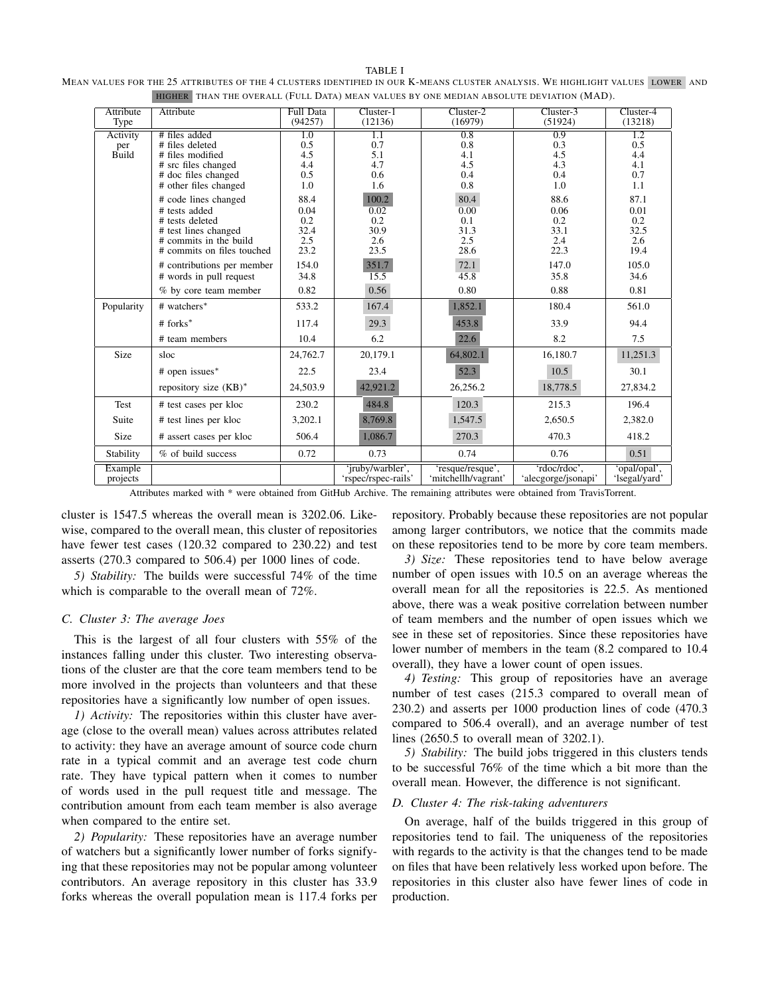| <b>TABLE I</b>                                                                                                                |  |
|-------------------------------------------------------------------------------------------------------------------------------|--|
| MEAN VALUES FOR THE 25 ATTRIBUTES OF THE 4 CLUSTERS IDENTIFIED IN OUR K-MEANS CLUSTER ANALYSIS. WE HIGHLIGHT VALUES LOWER AND |  |
| HIGHER THAN THE OVERALL (FULL DATA) MEAN VALUES BY ONE MEDIAN ABSOLUTE DEVIATION (MAD).                                       |  |

| Attribute<br>Type | Attribute                                    | Full Data<br>(94257) | $Cluster-1$<br>(12136) | $Cluster-2$<br>(16979) | $Cluster-3$<br>(51924) | $Cluster-4$<br>(13218) |
|-------------------|----------------------------------------------|----------------------|------------------------|------------------------|------------------------|------------------------|
|                   |                                              |                      |                        |                        |                        |                        |
| Activity          | # files added                                | $\overline{1.0}$     | 1.1                    | 0.8                    | 0.9                    | $\overline{1.2}$       |
| per               | # files deleted                              | 0.5                  | 0.7                    | 0.8                    | 0.3                    | 0.5                    |
| Build             | # files modified                             | 4.5<br>4.4           | 5.1<br>4.7             | 4.1<br>4.5             | 4.5<br>4.3             | 4.4<br>4.1             |
|                   | # src files changed                          | 0.5                  | 0.6                    | 0.4                    | 0.4                    | 0.7                    |
|                   | # doc files changed<br># other files changed | 1.0                  | 1.6                    | 0.8                    | 1.0                    | 1.1                    |
|                   |                                              |                      |                        |                        |                        |                        |
|                   | # code lines changed                         | 88.4                 | 100.2                  | 80.4                   | 88.6                   | 87.1                   |
|                   | # tests added                                | 0.04                 | 0.02                   | 0.00                   | 0.06                   | 0.01                   |
|                   | # tests deleted                              | 0.2                  | 0.2                    | 0.1                    | 0.2                    | 0.2                    |
|                   | # test lines changed                         | 32.4                 | 30.9                   | 31.3                   | 33.1                   | 32.5                   |
|                   | # commits in the build                       | 2.5                  | 2.6                    | 2.5                    | 2.4                    | 2.6                    |
|                   | # commits on files touched                   | 23.2                 | 23.5                   | 28.6                   | 22.3                   | 19.4                   |
|                   | # contributions per member                   | 154.0                | 351.7                  | 72.1                   | 147.0                  | 105.0                  |
|                   | # words in pull request                      | 34.8                 | 15.5                   | 45.8                   | 35.8                   | 34.6                   |
|                   | % by core team member                        | 0.82                 | 0.56                   | 0.80                   | 0.88                   | 0.81                   |
| Popularity        | # watchers*                                  | 533.2                | 167.4                  | 1,852.1                | 180.4                  | 561.0                  |
|                   | $#$ forks <sup>*</sup>                       | 117.4                | 29.3                   | 453.8                  | 33.9                   | 94.4                   |
|                   | # team members                               | 10.4                 | 6.2                    | 22.6                   | 8.2                    | 7.5                    |
| Size              | sloc                                         | 24,762.7             | 20,179.1               | 64,802.1               | 16,180.7               | 11,251.3               |
|                   | # open issues*                               | 22.5                 | 23.4                   | 52.3                   | 10.5                   | 30.1                   |
|                   | repository size $(KB)^*$                     | 24,503.9             | 42,921.2               | 26,256.2               | 18,778.5               | 27,834.2               |
| Test              | # test cases per kloc                        | 230.2                | 484.8                  | 120.3                  | 215.3                  | 196.4                  |
| Suite             | # test lines per kloc                        | 3,202.1              | 8,769.8                | 1,547.5                | 2,650.5                | 2,382.0                |
| Size              | # assert cases per kloc                      | 506.4                | 1,086.7                | 270.3                  | 470.3                  | 418.2                  |
| Stability         | % of build success                           | 0.72                 | 0.73                   | 0.74                   | 0.76                   | 0.51                   |
| Example           |                                              |                      | 'jruby/warbler',       | 'resque/resque',       | 'rdoc/rdoc',           | 'opal/opal',           |
| projects          |                                              |                      | 'rspec/rspec-rails'    | 'mitchellh/vagrant'    | 'alecgorge/jsonapi'    | 'lsegal/yard'          |

Attributes marked with \* were obtained from GitHub Archive. The remaining attributes were obtained from TravisTorrent.

cluster is 1547.5 whereas the overall mean is 3202.06. Likewise, compared to the overall mean, this cluster of repositories have fewer test cases (120.32 compared to 230.22) and test asserts (270.3 compared to 506.4) per 1000 lines of code.

*5) Stability:* The builds were successful 74% of the time which is comparable to the overall mean of 72%.

# *C. Cluster 3: The average Joes*

This is the largest of all four clusters with 55% of the instances falling under this cluster. Two interesting observations of the cluster are that the core team members tend to be more involved in the projects than volunteers and that these repositories have a significantly low number of open issues.

*1) Activity:* The repositories within this cluster have average (close to the overall mean) values across attributes related to activity: they have an average amount of source code churn rate in a typical commit and an average test code churn rate. They have typical pattern when it comes to number of words used in the pull request title and message. The contribution amount from each team member is also average when compared to the entire set.

*2) Popularity:* These repositories have an average number of watchers but a significantly lower number of forks signifying that these repositories may not be popular among volunteer contributors. An average repository in this cluster has 33.9 forks whereas the overall population mean is 117.4 forks per repository. Probably because these repositories are not popular among larger contributors, we notice that the commits made on these repositories tend to be more by core team members.

*3) Size:* These repositories tend to have below average number of open issues with 10.5 on an average whereas the overall mean for all the repositories is 22.5. As mentioned above, there was a weak positive correlation between number of team members and the number of open issues which we see in these set of repositories. Since these repositories have lower number of members in the team (8.2 compared to 10.4 overall), they have a lower count of open issues.

*4) Testing:* This group of repositories have an average number of test cases (215.3 compared to overall mean of 230.2) and asserts per 1000 production lines of code (470.3 compared to 506.4 overall), and an average number of test lines (2650.5 to overall mean of 3202.1).

*5) Stability:* The build jobs triggered in this clusters tends to be successful 76% of the time which a bit more than the overall mean. However, the difference is not significant.

# *D. Cluster 4: The risk-taking adventurers*

On average, half of the builds triggered in this group of repositories tend to fail. The uniqueness of the repositories with regards to the activity is that the changes tend to be made on files that have been relatively less worked upon before. The repositories in this cluster also have fewer lines of code in production.